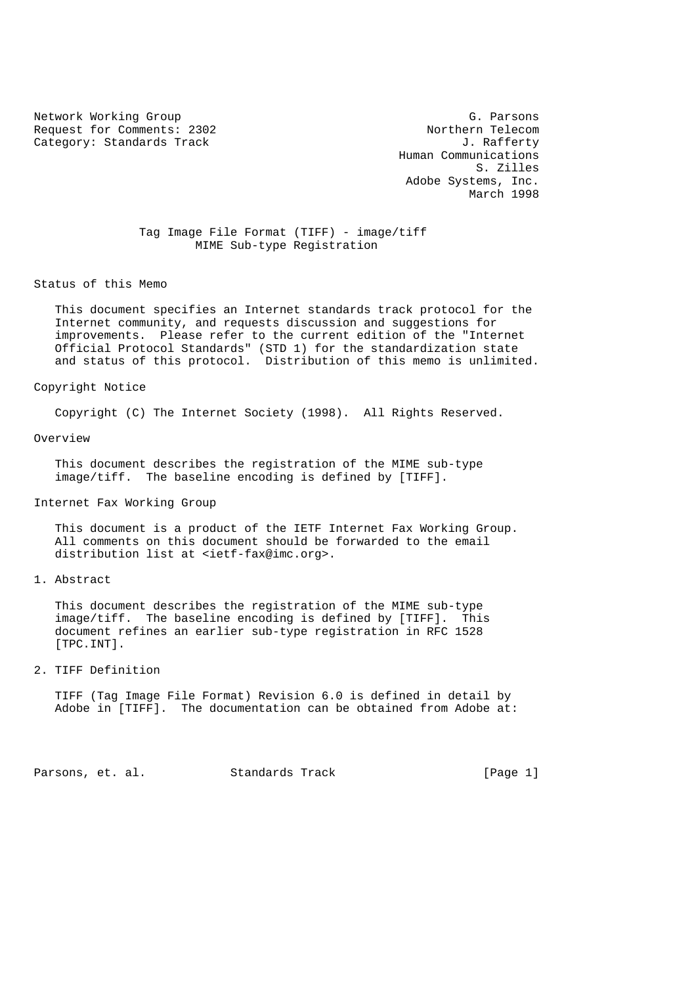Network Working Group<br>Request for Comments: 2302 Sequest for Comments: 2302 Request for Comments: 2302 Category: Standards Track Gategory: Standards Track J. Rafferty

 Human Communications S. Zilles Adobe Systems, Inc. March 1998

 Tag Image File Format (TIFF) - image/tiff MIME Sub-type Registration

Status of this Memo

 This document specifies an Internet standards track protocol for the Internet community, and requests discussion and suggestions for improvements. Please refer to the current edition of the "Internet Official Protocol Standards" (STD 1) for the standardization state and status of this protocol. Distribution of this memo is unlimited.

Copyright Notice

Copyright (C) The Internet Society (1998). All Rights Reserved.

Overview

 This document describes the registration of the MIME sub-type image/tiff. The baseline encoding is defined by [TIFF].

Internet Fax Working Group

 This document is a product of the IETF Internet Fax Working Group. All comments on this document should be forwarded to the email distribution list at <ietf-fax@imc.org>.

1. Abstract

 This document describes the registration of the MIME sub-type image/tiff. The baseline encoding is defined by [TIFF]. This document refines an earlier sub-type registration in RFC 1528 [TPC.INT].

2. TIFF Definition

 TIFF (Tag Image File Format) Revision 6.0 is defined in detail by Adobe in [TIFF]. The documentation can be obtained from Adobe at:

Parsons, et. al. Standards Track [Page 1]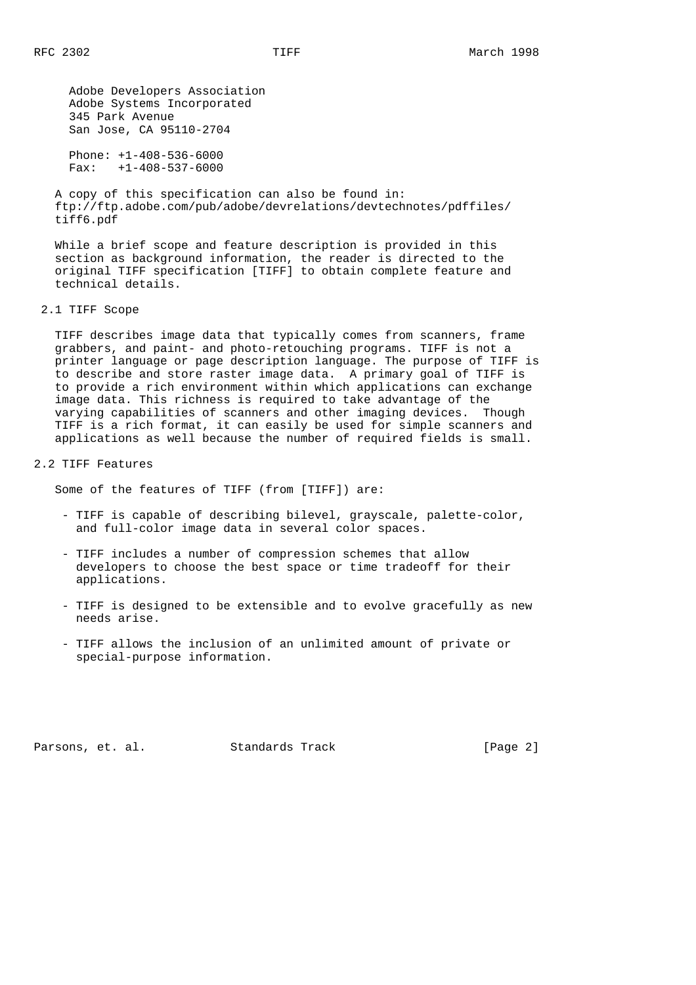Adobe Developers Association Adobe Systems Incorporated 345 Park Avenue San Jose, CA 95110-2704

 Phone: +1-408-536-6000 Fax: +1-408-537-6000

 A copy of this specification can also be found in: ftp://ftp.adobe.com/pub/adobe/devrelations/devtechnotes/pdffiles/ tiff6.pdf

 While a brief scope and feature description is provided in this section as background information, the reader is directed to the original TIFF specification [TIFF] to obtain complete feature and technical details.

2.1 TIFF Scope

 TIFF describes image data that typically comes from scanners, frame grabbers, and paint- and photo-retouching programs. TIFF is not a printer language or page description language. The purpose of TIFF is to describe and store raster image data. A primary goal of TIFF is to provide a rich environment within which applications can exchange image data. This richness is required to take advantage of the varying capabilities of scanners and other imaging devices. Though TIFF is a rich format, it can easily be used for simple scanners and applications as well because the number of required fields is small.

2.2 TIFF Features

Some of the features of TIFF (from [TIFF]) are:

- TIFF is capable of describing bilevel, grayscale, palette-color, and full-color image data in several color spaces.
- TIFF includes a number of compression schemes that allow developers to choose the best space or time tradeoff for their applications.
- TIFF is designed to be extensible and to evolve gracefully as new needs arise.
- TIFF allows the inclusion of an unlimited amount of private or special-purpose information.

Parsons, et. al. Standards Track [Page 2]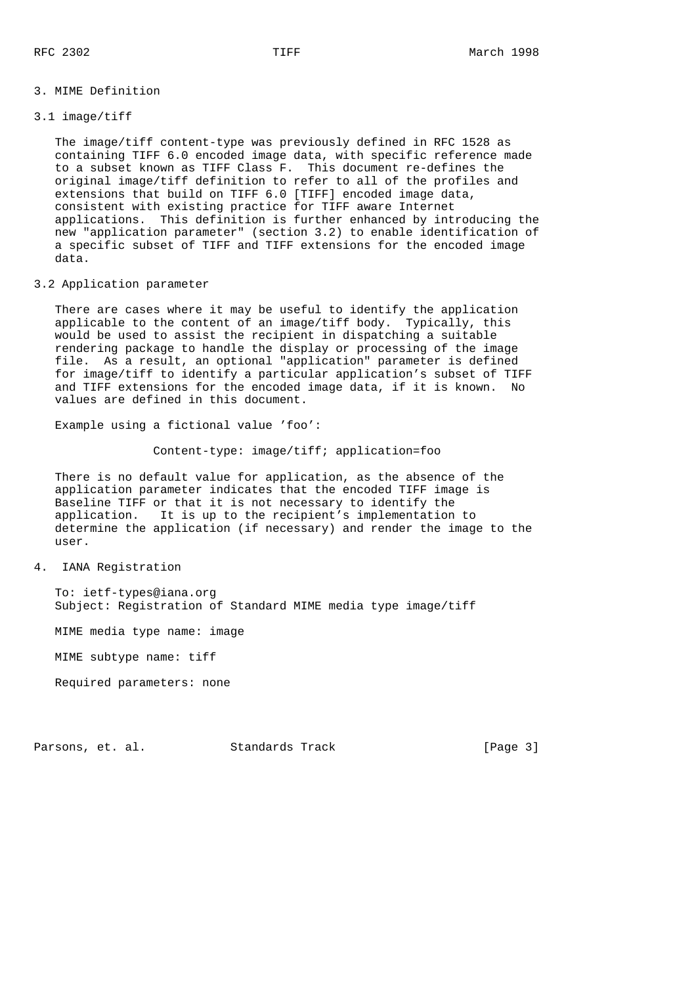## 3. MIME Definition

## 3.1 image/tiff

 The image/tiff content-type was previously defined in RFC 1528 as containing TIFF 6.0 encoded image data, with specific reference made to a subset known as TIFF Class F. This document re-defines the original image/tiff definition to refer to all of the profiles and extensions that build on TIFF 6.0 [TIFF] encoded image data, consistent with existing practice for TIFF aware Internet applications. This definition is further enhanced by introducing the new "application parameter" (section 3.2) to enable identification of a specific subset of TIFF and TIFF extensions for the encoded image data.

## 3.2 Application parameter

 There are cases where it may be useful to identify the application applicable to the content of an image/tiff body. Typically, this would be used to assist the recipient in dispatching a suitable rendering package to handle the display or processing of the image file. As a result, an optional "application" parameter is defined for image/tiff to identify a particular application's subset of TIFF and TIFF extensions for the encoded image data, if it is known. No values are defined in this document.

Example using a fictional value 'foo':

Content-type: image/tiff; application=foo

 There is no default value for application, as the absence of the application parameter indicates that the encoded TIFF image is Baseline TIFF or that it is not necessary to identify the application. It is up to the recipient's implementation to determine the application (if necessary) and render the image to the user.

4. IANA Registration

 To: ietf-types@iana.org Subject: Registration of Standard MIME media type image/tiff

MIME media type name: image

MIME subtype name: tiff

Required parameters: none

Parsons, et. al. Standards Track [Page 3]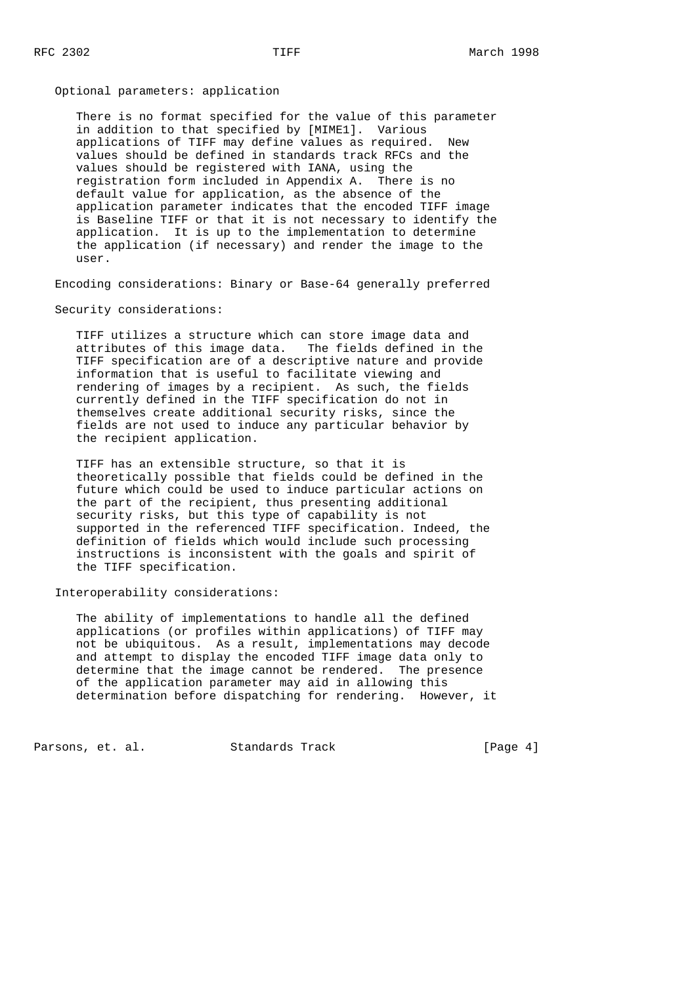Optional parameters: application

 There is no format specified for the value of this parameter in addition to that specified by [MIME1]. Various applications of TIFF may define values as required. New values should be defined in standards track RFCs and the values should be registered with IANA, using the registration form included in Appendix A. There is no default value for application, as the absence of the application parameter indicates that the encoded TIFF image is Baseline TIFF or that it is not necessary to identify the application. It is up to the implementation to determine the application (if necessary) and render the image to the user.

Encoding considerations: Binary or Base-64 generally preferred

Security considerations:

 TIFF utilizes a structure which can store image data and attributes of this image data. The fields defined in the TIFF specification are of a descriptive nature and provide information that is useful to facilitate viewing and rendering of images by a recipient. As such, the fields currently defined in the TIFF specification do not in themselves create additional security risks, since the fields are not used to induce any particular behavior by the recipient application.

 TIFF has an extensible structure, so that it is theoretically possible that fields could be defined in the future which could be used to induce particular actions on the part of the recipient, thus presenting additional security risks, but this type of capability is not supported in the referenced TIFF specification. Indeed, the definition of fields which would include such processing instructions is inconsistent with the goals and spirit of the TIFF specification.

Interoperability considerations:

 The ability of implementations to handle all the defined applications (or profiles within applications) of TIFF may not be ubiquitous. As a result, implementations may decode and attempt to display the encoded TIFF image data only to determine that the image cannot be rendered. The presence of the application parameter may aid in allowing this determination before dispatching for rendering. However, it

Parsons, et. al. Standards Track [Page 4]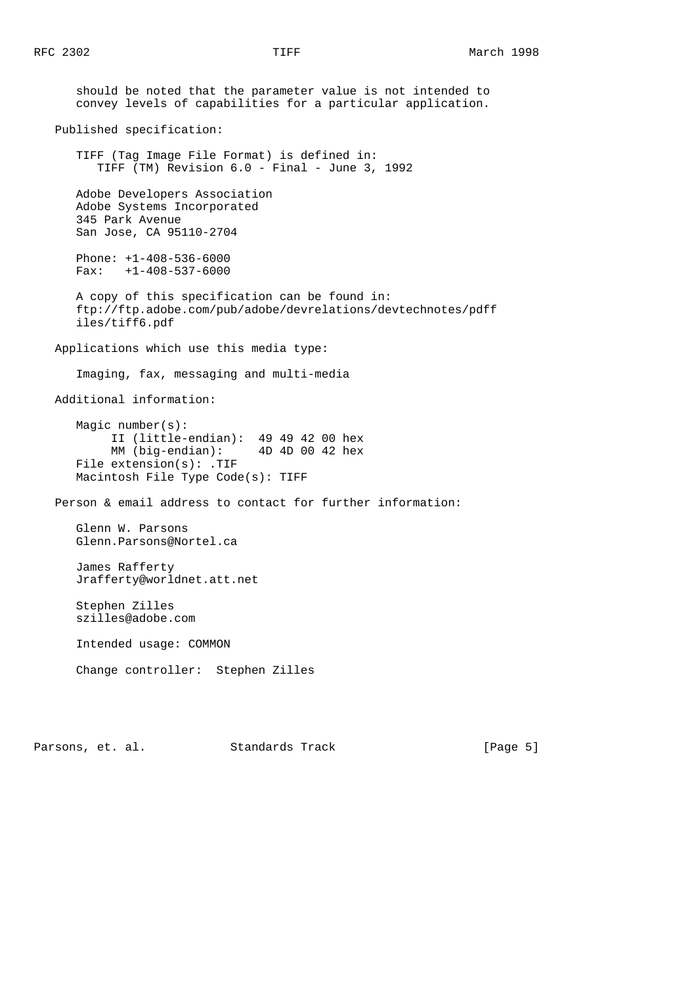should be noted that the parameter value is not intended to convey levels of capabilities for a particular application. Published specification: TIFF (Tag Image File Format) is defined in: TIFF (TM) Revision 6.0 - Final - June 3, 1992 Adobe Developers Association Adobe Systems Incorporated 345 Park Avenue San Jose, CA 95110-2704 Phone: +1-408-536-6000 Fax: +1-408-537-6000 A copy of this specification can be found in: ftp://ftp.adobe.com/pub/adobe/devrelations/devtechnotes/pdff iles/tiff6.pdf Applications which use this media type: Imaging, fax, messaging and multi-media Additional information: Magic number(s): II (little-endian): 49 49 42 00 hex MM (big-endian): 4D 4D 00 42 hex File extension(s): .TIF Macintosh File Type Code(s): TIFF Person & email address to contact for further information: Glenn W. Parsons Glenn.Parsons@Nortel.ca James Rafferty Jrafferty@worldnet.att.net Stephen Zilles szilles@adobe.com Intended usage: COMMON Change controller: Stephen Zilles

Parsons, et. al. Standards Track [Page 5]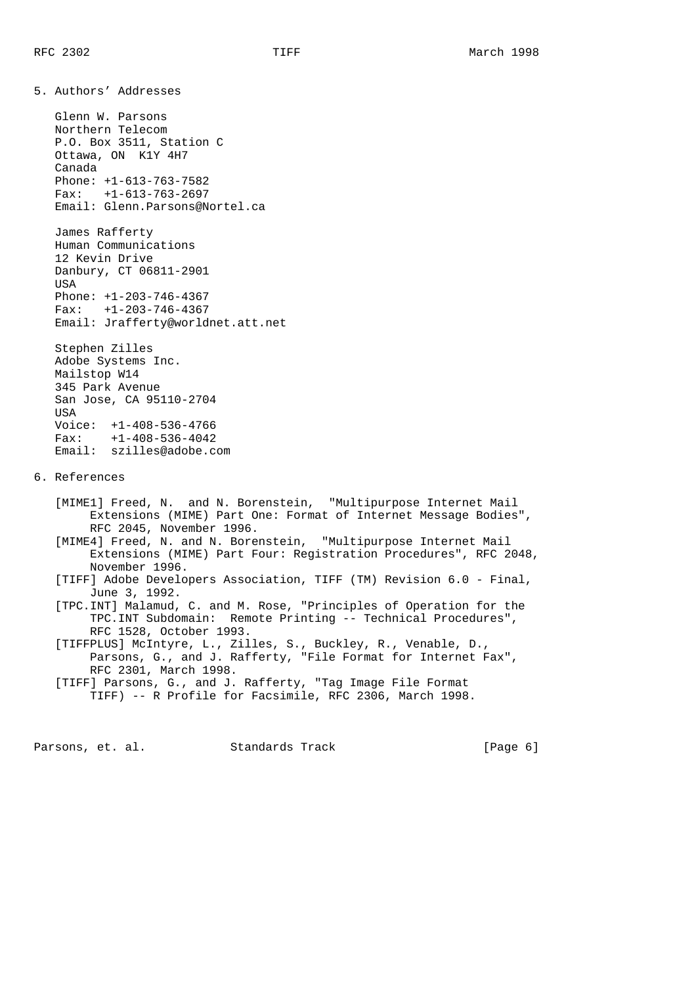5. Authors' Addresses

 Glenn W. Parsons Northern Telecom P.O. Box 3511, Station C Ottawa, ON K1Y 4H7 Canada Phone: +1-613-763-7582 Fax: +1-613-763-2697 Email: Glenn.Parsons@Nortel.ca

 James Rafferty Human Communications 12 Kevin Drive Danbury, CT 06811-2901 USA Phone: +1-203-746-4367 Fax: +1-203-746-4367 Email: Jrafferty@worldnet.att.net

 Stephen Zilles Adobe Systems Inc. Mailstop W14 345 Park Avenue San Jose, CA 95110-2704 USA Voice: +1-408-536-4766 Fax: +1-408-536-4042 Email: szilles@adobe.com

6. References

 [MIME1] Freed, N. and N. Borenstein, "Multipurpose Internet Mail Extensions (MIME) Part One: Format of Internet Message Bodies", RFC 2045, November 1996.

 [MIME4] Freed, N. and N. Borenstein, "Multipurpose Internet Mail Extensions (MIME) Part Four: Registration Procedures", RFC 2048, November 1996.

 [TIFF] Adobe Developers Association, TIFF (TM) Revision 6.0 - Final, June 3, 1992.

 [TPC.INT] Malamud, C. and M. Rose, "Principles of Operation for the TPC.INT Subdomain: Remote Printing -- Technical Procedures", RFC 1528, October 1993.

 [TIFFPLUS] McIntyre, L., Zilles, S., Buckley, R., Venable, D., Parsons, G., and J. Rafferty, "File Format for Internet Fax", RFC 2301, March 1998.

 [TIFF] Parsons, G., and J. Rafferty, "Tag Image File Format TIFF) -- R Profile for Facsimile, RFC 2306, March 1998.

Parsons, et. al. Standards Track [Page 6]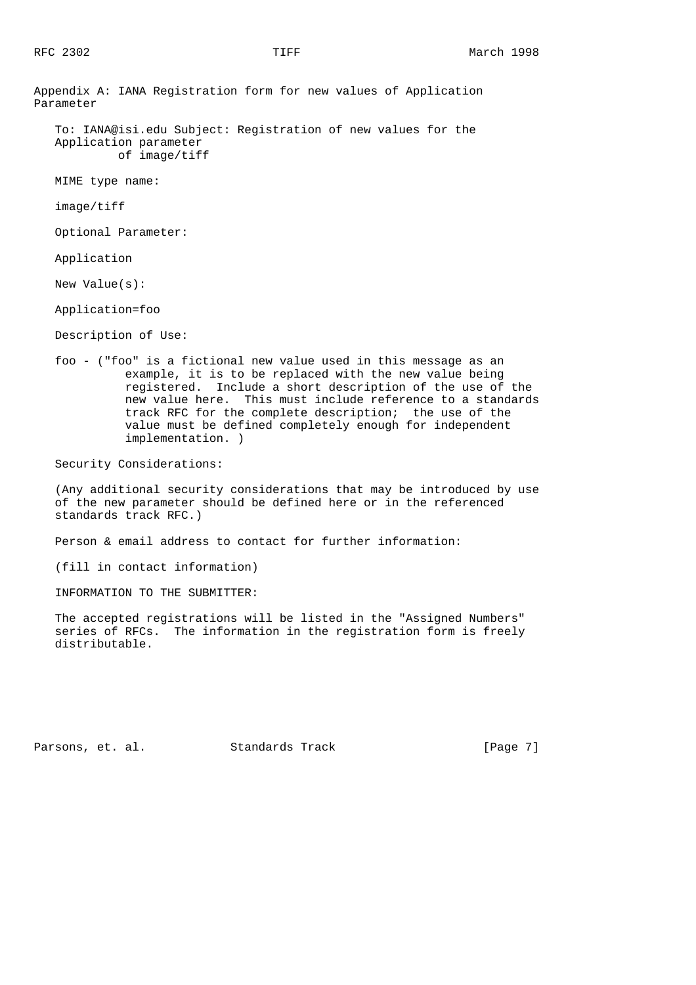Appendix A: IANA Registration form for new values of Application Parameter

 To: IANA@isi.edu Subject: Registration of new values for the Application parameter of image/tiff

MIME type name:

image/tiff

Optional Parameter:

Application

New Value(s):

Application=foo

Description of Use:

 foo - ("foo" is a fictional new value used in this message as an example, it is to be replaced with the new value being registered. Include a short description of the use of the new value here. This must include reference to a standards track RFC for the complete description; the use of the value must be defined completely enough for independent implementation. )

Security Considerations:

 (Any additional security considerations that may be introduced by use of the new parameter should be defined here or in the referenced standards track RFC.)

Person & email address to contact for further information:

(fill in contact information)

INFORMATION TO THE SUBMITTER:

 The accepted registrations will be listed in the "Assigned Numbers" series of RFCs. The information in the registration form is freely distributable.

Parsons, et. al. Standards Track [Page 7]